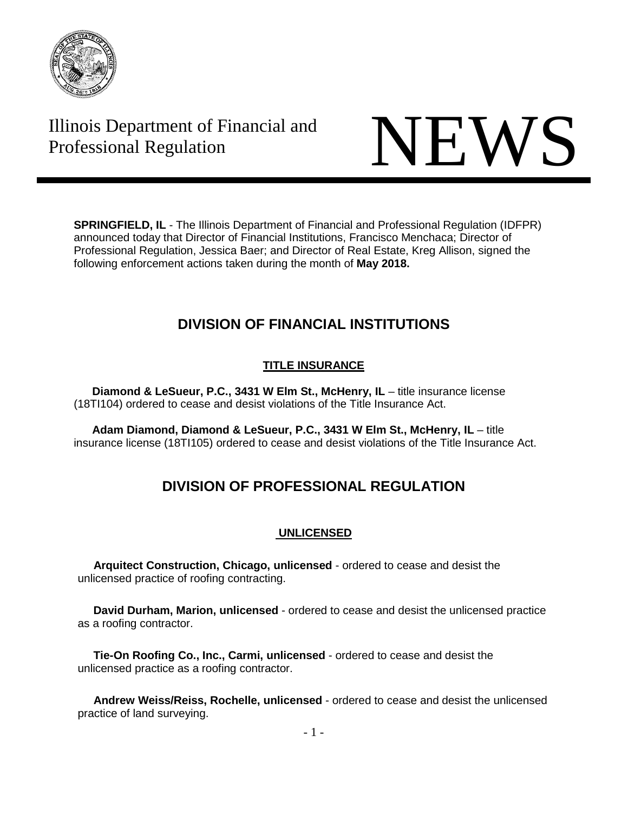

# Illinois Department of Financial and Thinois Department of Financial and<br>Professional Regulation NEWS



**SPRINGFIELD, IL** - The Illinois Department of Financial and Professional Regulation (IDFPR) announced today that Director of Financial Institutions, Francisco Menchaca; Director of Professional Regulation, Jessica Baer; and Director of Real Estate, Kreg Allison, signed the following enforcement actions taken during the month of **May 2018.**

# **DIVISION OF FINANCIAL INSTITUTIONS**

# **TITLE INSURANCE**

**Diamond & LeSueur, P.C., 3431 W Elm St., McHenry, IL** – title insurance license (18TI104) ordered to cease and desist violations of the Title Insurance Act.

**Adam Diamond, Diamond & LeSueur, P.C., 3431 W Elm St., McHenry, IL** – title insurance license (18TI105) ordered to cease and desist violations of the Title Insurance Act.

# **DIVISION OF PROFESSIONAL REGULATION**

# **UNLICENSED**

 **Arquitect Construction, Chicago, unlicensed** - ordered to cease and desist the unlicensed practice of roofing contracting.

 **David Durham, Marion, unlicensed** - ordered to cease and desist the unlicensed practice as a roofing contractor.

 **Tie-On Roofing Co., Inc., Carmi, unlicensed** - ordered to cease and desist the unlicensed practice as a roofing contractor.

 **Andrew Weiss/Reiss, Rochelle, unlicensed** - ordered to cease and desist the unlicensed practice of land surveying.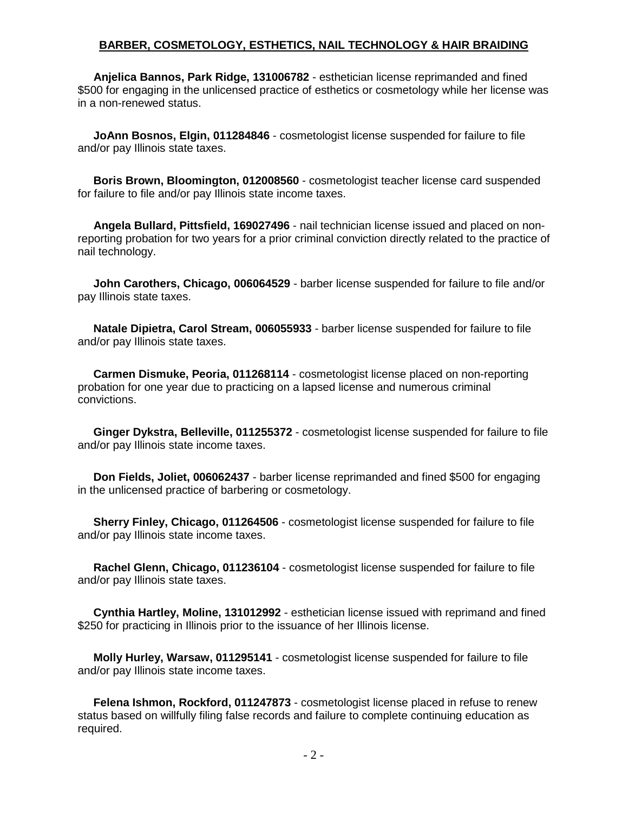#### **BARBER, COSMETOLOGY, ESTHETICS, NAIL TECHNOLOGY & HAIR BRAIDING**

 **Anjelica Bannos, Park Ridge, 131006782** - esthetician license reprimanded and fined \$500 for engaging in the unlicensed practice of esthetics or cosmetology while her license was in a non-renewed status.

 **JoAnn Bosnos, Elgin, 011284846** - cosmetologist license suspended for failure to file and/or pay Illinois state taxes.

 **Boris Brown, Bloomington, 012008560** - cosmetologist teacher license card suspended for failure to file and/or pay Illinois state income taxes.

 **Angela Bullard, Pittsfield, 169027496** - nail technician license issued and placed on nonreporting probation for two years for a prior criminal conviction directly related to the practice of nail technology.

 **John Carothers, Chicago, 006064529** - barber license suspended for failure to file and/or pay Illinois state taxes.

 **Natale Dipietra, Carol Stream, 006055933** - barber license suspended for failure to file and/or pay Illinois state taxes.

 **Carmen Dismuke, Peoria, 011268114** - cosmetologist license placed on non-reporting probation for one year due to practicing on a lapsed license and numerous criminal convictions.

 **Ginger Dykstra, Belleville, 011255372** - cosmetologist license suspended for failure to file and/or pay Illinois state income taxes.

 **Don Fields, Joliet, 006062437** - barber license reprimanded and fined \$500 for engaging in the unlicensed practice of barbering or cosmetology.

 **Sherry Finley, Chicago, 011264506** - cosmetologist license suspended for failure to file and/or pay Illinois state income taxes.

 **Rachel Glenn, Chicago, 011236104** - cosmetologist license suspended for failure to file and/or pay Illinois state taxes.

 **Cynthia Hartley, Moline, 131012992** - esthetician license issued with reprimand and fined \$250 for practicing in Illinois prior to the issuance of her Illinois license.

 **Molly Hurley, Warsaw, 011295141** - cosmetologist license suspended for failure to file and/or pay Illinois state income taxes.

 **Felena Ishmon, Rockford, 011247873** - cosmetologist license placed in refuse to renew status based on willfully filing false records and failure to complete continuing education as required.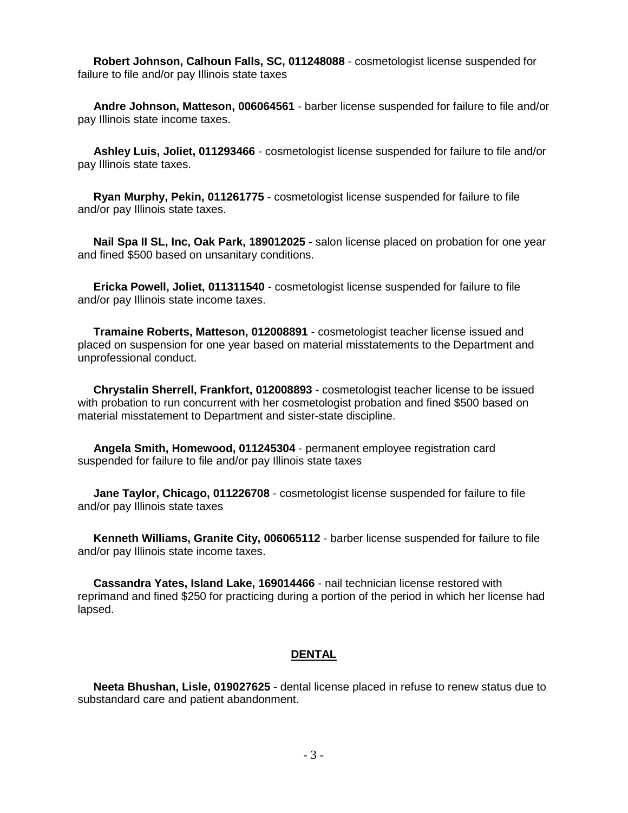**Robert Johnson, Calhoun Falls, SC, 011248088** - cosmetologist license suspended for failure to file and/or pay Illinois state taxes

 **Andre Johnson, Matteson, 006064561** - barber license suspended for failure to file and/or pay Illinois state income taxes.

 **Ashley Luis, Joliet, 011293466** - cosmetologist license suspended for failure to file and/or pay Illinois state taxes.

 **Ryan Murphy, Pekin, 011261775** - cosmetologist license suspended for failure to file and/or pay Illinois state taxes.

 **Nail Spa II SL, Inc, Oak Park, 189012025** - salon license placed on probation for one year and fined \$500 based on unsanitary conditions.

 **Ericka Powell, Joliet, 011311540** - cosmetologist license suspended for failure to file and/or pay Illinois state income taxes.

 **Tramaine Roberts, Matteson, 012008891** - cosmetologist teacher license issued and placed on suspension for one year based on material misstatements to the Department and unprofessional conduct.

 **Chrystalin Sherrell, Frankfort, 012008893** - cosmetologist teacher license to be issued with probation to run concurrent with her cosmetologist probation and fined \$500 based on material misstatement to Department and sister-state discipline.

 **Angela Smith, Homewood, 011245304** - permanent employee registration card suspended for failure to file and/or pay Illinois state taxes

 **Jane Taylor, Chicago, 011226708** - cosmetologist license suspended for failure to file and/or pay Illinois state taxes

 **Kenneth Williams, Granite City, 006065112** - barber license suspended for failure to file and/or pay Illinois state income taxes.

 **Cassandra Yates, Island Lake, 169014466** - nail technician license restored with reprimand and fined \$250 for practicing during a portion of the period in which her license had lapsed.

#### **DENTAL**

 **Neeta Bhushan, Lisle, 019027625** - dental license placed in refuse to renew status due to substandard care and patient abandonment.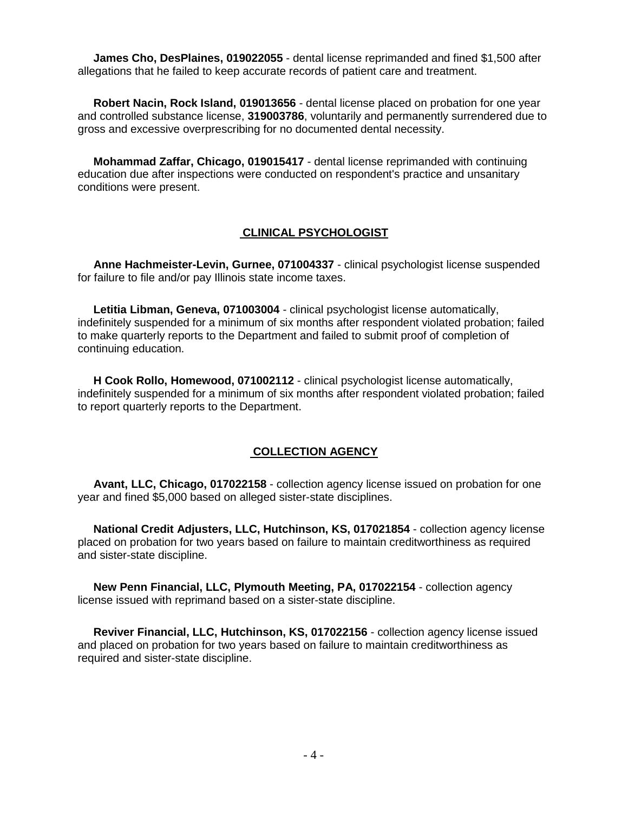**James Cho, DesPlaines, 019022055** - dental license reprimanded and fined \$1,500 after allegations that he failed to keep accurate records of patient care and treatment.

 **Robert Nacin, Rock Island, 019013656** - dental license placed on probation for one year and controlled substance license, **319003786**, voluntarily and permanently surrendered due to gross and excessive overprescribing for no documented dental necessity.

 **Mohammad Zaffar, Chicago, 019015417** - dental license reprimanded with continuing education due after inspections were conducted on respondent's practice and unsanitary conditions were present.

#### **CLINICAL PSYCHOLOGIST**

 **Anne Hachmeister-Levin, Gurnee, 071004337** - clinical psychologist license suspended for failure to file and/or pay Illinois state income taxes.

 **Letitia Libman, Geneva, 071003004** - clinical psychologist license automatically, indefinitely suspended for a minimum of six months after respondent violated probation; failed to make quarterly reports to the Department and failed to submit proof of completion of continuing education.

 **H Cook Rollo, Homewood, 071002112** - clinical psychologist license automatically, indefinitely suspended for a minimum of six months after respondent violated probation; failed to report quarterly reports to the Department.

# **COLLECTION AGENCY**

 **Avant, LLC, Chicago, 017022158** - collection agency license issued on probation for one year and fined \$5,000 based on alleged sister-state disciplines.

 **National Credit Adjusters, LLC, Hutchinson, KS, 017021854** - collection agency license placed on probation for two years based on failure to maintain creditworthiness as required and sister-state discipline.

 **New Penn Financial, LLC, Plymouth Meeting, PA, 017022154** - collection agency license issued with reprimand based on a sister-state discipline.

 **Reviver Financial, LLC, Hutchinson, KS, 017022156** - collection agency license issued and placed on probation for two years based on failure to maintain creditworthiness as required and sister-state discipline.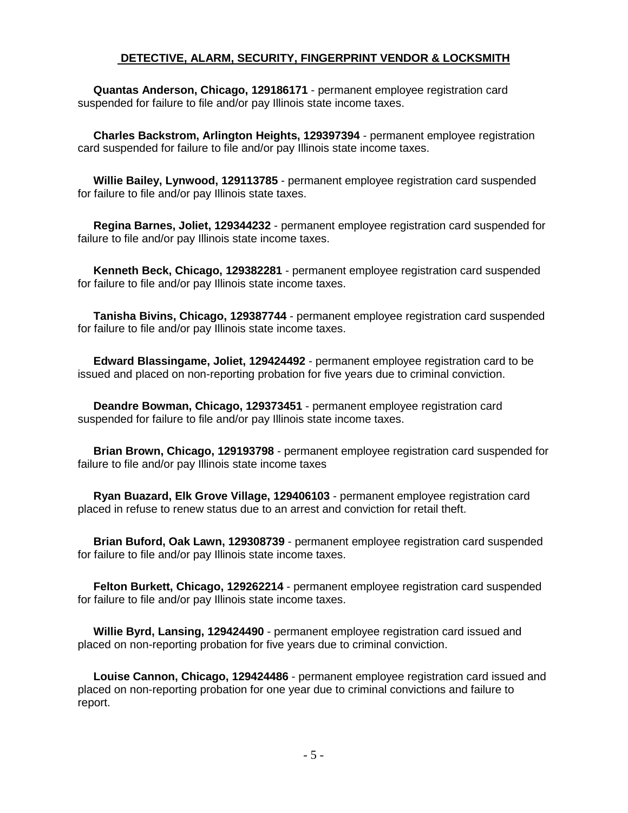#### **DETECTIVE, ALARM, SECURITY, FINGERPRINT VENDOR & LOCKSMITH**

 **Quantas Anderson, Chicago, 129186171** - permanent employee registration card suspended for failure to file and/or pay Illinois state income taxes.

 **Charles Backstrom, Arlington Heights, 129397394** - permanent employee registration card suspended for failure to file and/or pay Illinois state income taxes.

 **Willie Bailey, Lynwood, 129113785** - permanent employee registration card suspended for failure to file and/or pay Illinois state taxes.

 **Regina Barnes, Joliet, 129344232** - permanent employee registration card suspended for failure to file and/or pay Illinois state income taxes.

 **Kenneth Beck, Chicago, 129382281** - permanent employee registration card suspended for failure to file and/or pay Illinois state income taxes.

 **Tanisha Bivins, Chicago, 129387744** - permanent employee registration card suspended for failure to file and/or pay Illinois state income taxes.

 **Edward Blassingame, Joliet, 129424492** - permanent employee registration card to be issued and placed on non-reporting probation for five years due to criminal conviction.

 **Deandre Bowman, Chicago, 129373451** - permanent employee registration card suspended for failure to file and/or pay Illinois state income taxes.

 **Brian Brown, Chicago, 129193798** - permanent employee registration card suspended for failure to file and/or pay Illinois state income taxes

 **Ryan Buazard, Elk Grove Village, 129406103** - permanent employee registration card placed in refuse to renew status due to an arrest and conviction for retail theft.

 **Brian Buford, Oak Lawn, 129308739** - permanent employee registration card suspended for failure to file and/or pay Illinois state income taxes.

 **Felton Burkett, Chicago, 129262214** - permanent employee registration card suspended for failure to file and/or pay Illinois state income taxes.

 **Willie Byrd, Lansing, 129424490** - permanent employee registration card issued and placed on non-reporting probation for five years due to criminal conviction.

 **Louise Cannon, Chicago, 129424486** - permanent employee registration card issued and placed on non-reporting probation for one year due to criminal convictions and failure to report.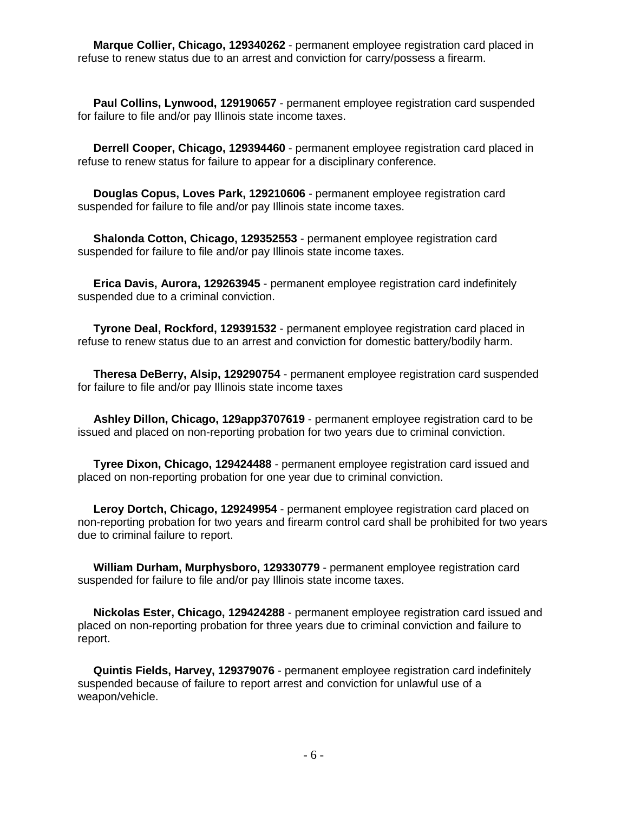**Marque Collier, Chicago, 129340262** - permanent employee registration card placed in refuse to renew status due to an arrest and conviction for carry/possess a firearm.

 **Paul Collins, Lynwood, 129190657** - permanent employee registration card suspended for failure to file and/or pay Illinois state income taxes.

 **Derrell Cooper, Chicago, 129394460** - permanent employee registration card placed in refuse to renew status for failure to appear for a disciplinary conference.

 **Douglas Copus, Loves Park, 129210606** - permanent employee registration card suspended for failure to file and/or pay Illinois state income taxes.

 **Shalonda Cotton, Chicago, 129352553** - permanent employee registration card suspended for failure to file and/or pay Illinois state income taxes.

 **Erica Davis, Aurora, 129263945** - permanent employee registration card indefinitely suspended due to a criminal conviction.

 **Tyrone Deal, Rockford, 129391532** - permanent employee registration card placed in refuse to renew status due to an arrest and conviction for domestic battery/bodily harm.

 **Theresa DeBerry, Alsip, 129290754** - permanent employee registration card suspended for failure to file and/or pay Illinois state income taxes

 **Ashley Dillon, Chicago, 129app3707619** - permanent employee registration card to be issued and placed on non-reporting probation for two years due to criminal conviction.

 **Tyree Dixon, Chicago, 129424488** - permanent employee registration card issued and placed on non-reporting probation for one year due to criminal conviction.

 **Leroy Dortch, Chicago, 129249954** - permanent employee registration card placed on non-reporting probation for two years and firearm control card shall be prohibited for two years due to criminal failure to report.

 **William Durham, Murphysboro, 129330779** - permanent employee registration card suspended for failure to file and/or pay Illinois state income taxes.

 **Nickolas Ester, Chicago, 129424288** - permanent employee registration card issued and placed on non-reporting probation for three years due to criminal conviction and failure to report.

 **Quintis Fields, Harvey, 129379076** - permanent employee registration card indefinitely suspended because of failure to report arrest and conviction for unlawful use of a weapon/vehicle.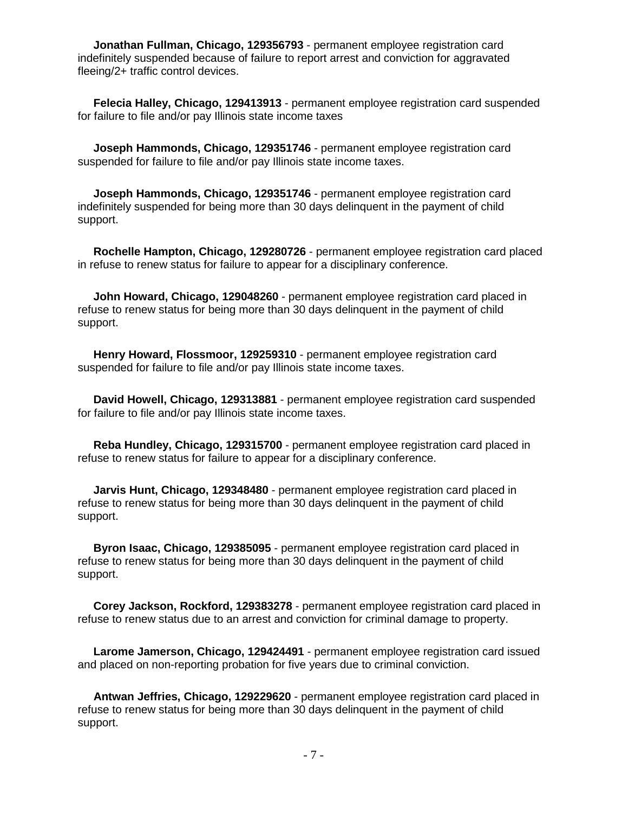**Jonathan Fullman, Chicago, 129356793** - permanent employee registration card indefinitely suspended because of failure to report arrest and conviction for aggravated fleeing/2+ traffic control devices.

 **Felecia Halley, Chicago, 129413913** - permanent employee registration card suspended for failure to file and/or pay Illinois state income taxes

 **Joseph Hammonds, Chicago, 129351746** - permanent employee registration card suspended for failure to file and/or pay Illinois state income taxes.

 **Joseph Hammonds, Chicago, 129351746** - permanent employee registration card indefinitely suspended for being more than 30 days delinquent in the payment of child support.

 **Rochelle Hampton, Chicago, 129280726** - permanent employee registration card placed in refuse to renew status for failure to appear for a disciplinary conference.

 **John Howard, Chicago, 129048260** - permanent employee registration card placed in refuse to renew status for being more than 30 days delinquent in the payment of child support.

 **Henry Howard, Flossmoor, 129259310** - permanent employee registration card suspended for failure to file and/or pay Illinois state income taxes.

 **David Howell, Chicago, 129313881** - permanent employee registration card suspended for failure to file and/or pay Illinois state income taxes.

 **Reba Hundley, Chicago, 129315700** - permanent employee registration card placed in refuse to renew status for failure to appear for a disciplinary conference.

 **Jarvis Hunt, Chicago, 129348480** - permanent employee registration card placed in refuse to renew status for being more than 30 days delinquent in the payment of child support.

 **Byron Isaac, Chicago, 129385095** - permanent employee registration card placed in refuse to renew status for being more than 30 days delinquent in the payment of child support.

 **Corey Jackson, Rockford, 129383278** - permanent employee registration card placed in refuse to renew status due to an arrest and conviction for criminal damage to property.

 **Larome Jamerson, Chicago, 129424491** - permanent employee registration card issued and placed on non-reporting probation for five years due to criminal conviction.

 **Antwan Jeffries, Chicago, 129229620** - permanent employee registration card placed in refuse to renew status for being more than 30 days delinquent in the payment of child support.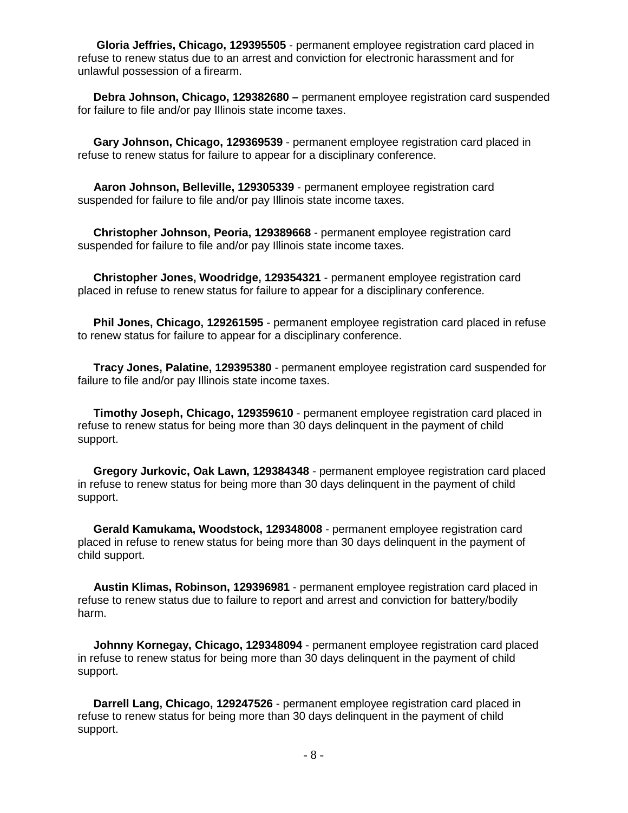**Gloria Jeffries, Chicago, 129395505** - permanent employee registration card placed in refuse to renew status due to an arrest and conviction for electronic harassment and for unlawful possession of a firearm.

 **Debra Johnson, Chicago, 129382680 –** permanent employee registration card suspended for failure to file and/or pay Illinois state income taxes.

 **Gary Johnson, Chicago, 129369539** - permanent employee registration card placed in refuse to renew status for failure to appear for a disciplinary conference.

 **Aaron Johnson, Belleville, 129305339** - permanent employee registration card suspended for failure to file and/or pay Illinois state income taxes.

 **Christopher Johnson, Peoria, 129389668** - permanent employee registration card suspended for failure to file and/or pay Illinois state income taxes.

 **Christopher Jones, Woodridge, 129354321** - permanent employee registration card placed in refuse to renew status for failure to appear for a disciplinary conference.

 **Phil Jones, Chicago, 129261595** - permanent employee registration card placed in refuse to renew status for failure to appear for a disciplinary conference.

 **Tracy Jones, Palatine, 129395380** - permanent employee registration card suspended for failure to file and/or pay Illinois state income taxes.

 **Timothy Joseph, Chicago, 129359610** - permanent employee registration card placed in refuse to renew status for being more than 30 days delinquent in the payment of child support.

 **Gregory Jurkovic, Oak Lawn, 129384348** - permanent employee registration card placed in refuse to renew status for being more than 30 days delinquent in the payment of child support.

 **Gerald Kamukama, Woodstock, 129348008** - permanent employee registration card placed in refuse to renew status for being more than 30 days delinquent in the payment of child support.

 **Austin Klimas, Robinson, 129396981** - permanent employee registration card placed in refuse to renew status due to failure to report and arrest and conviction for battery/bodily harm.

 **Johnny Kornegay, Chicago, 129348094** - permanent employee registration card placed in refuse to renew status for being more than 30 days delinquent in the payment of child support.

 **Darrell Lang, Chicago, 129247526** - permanent employee registration card placed in refuse to renew status for being more than 30 days delinquent in the payment of child support.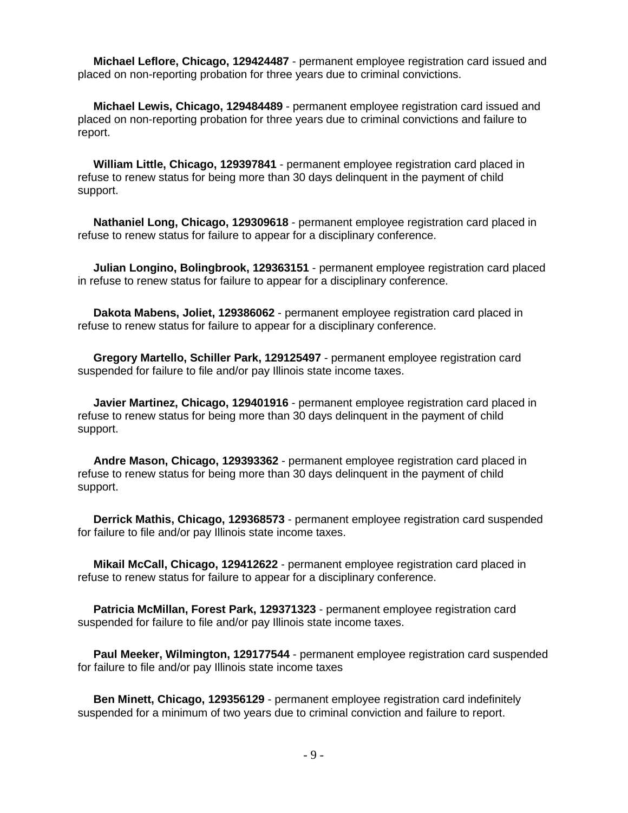**Michael Leflore, Chicago, 129424487** - permanent employee registration card issued and placed on non-reporting probation for three years due to criminal convictions.

 **Michael Lewis, Chicago, 129484489** - permanent employee registration card issued and placed on non-reporting probation for three years due to criminal convictions and failure to report.

 **William Little, Chicago, 129397841** - permanent employee registration card placed in refuse to renew status for being more than 30 days delinquent in the payment of child support.

 **Nathaniel Long, Chicago, 129309618** - permanent employee registration card placed in refuse to renew status for failure to appear for a disciplinary conference.

 **Julian Longino, Bolingbrook, 129363151** - permanent employee registration card placed in refuse to renew status for failure to appear for a disciplinary conference.

 **Dakota Mabens, Joliet, 129386062** - permanent employee registration card placed in refuse to renew status for failure to appear for a disciplinary conference.

 **Gregory Martello, Schiller Park, 129125497** - permanent employee registration card suspended for failure to file and/or pay Illinois state income taxes.

 **Javier Martinez, Chicago, 129401916** - permanent employee registration card placed in refuse to renew status for being more than 30 days delinquent in the payment of child support.

 **Andre Mason, Chicago, 129393362** - permanent employee registration card placed in refuse to renew status for being more than 30 days delinquent in the payment of child support.

 **Derrick Mathis, Chicago, 129368573** - permanent employee registration card suspended for failure to file and/or pay Illinois state income taxes.

 **Mikail McCall, Chicago, 129412622** - permanent employee registration card placed in refuse to renew status for failure to appear for a disciplinary conference.

 **Patricia McMillan, Forest Park, 129371323** - permanent employee registration card suspended for failure to file and/or pay Illinois state income taxes.

 **Paul Meeker, Wilmington, 129177544** - permanent employee registration card suspended for failure to file and/or pay Illinois state income taxes

 **Ben Minett, Chicago, 129356129** - permanent employee registration card indefinitely suspended for a minimum of two years due to criminal conviction and failure to report.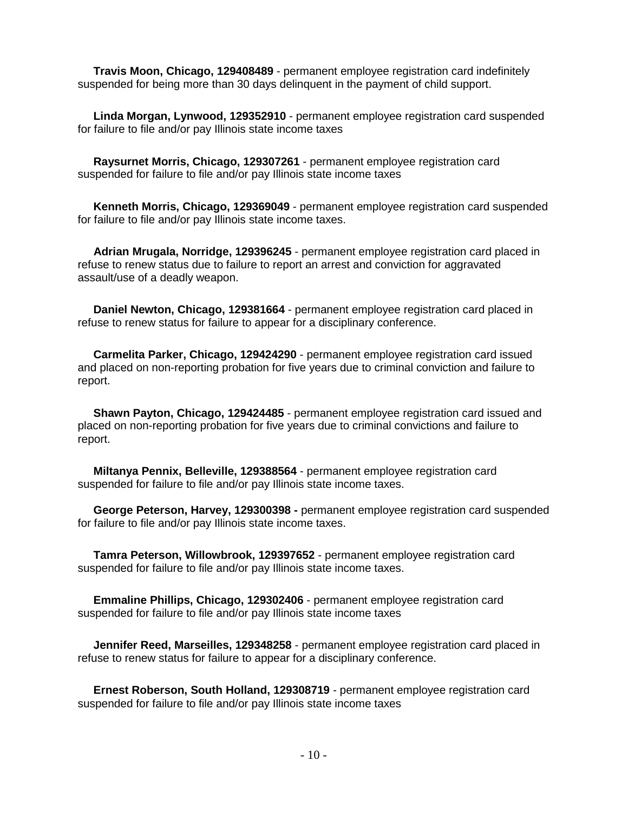**Travis Moon, Chicago, 129408489** - permanent employee registration card indefinitely suspended for being more than 30 days delinquent in the payment of child support.

 **Linda Morgan, Lynwood, 129352910** - permanent employee registration card suspended for failure to file and/or pay Illinois state income taxes

 **Raysurnet Morris, Chicago, 129307261** - permanent employee registration card suspended for failure to file and/or pay Illinois state income taxes

 **Kenneth Morris, Chicago, 129369049** - permanent employee registration card suspended for failure to file and/or pay Illinois state income taxes.

 **Adrian Mrugala, Norridge, 129396245** - permanent employee registration card placed in refuse to renew status due to failure to report an arrest and conviction for aggravated assault/use of a deadly weapon.

 **Daniel Newton, Chicago, 129381664** - permanent employee registration card placed in refuse to renew status for failure to appear for a disciplinary conference.

 **Carmelita Parker, Chicago, 129424290** - permanent employee registration card issued and placed on non-reporting probation for five years due to criminal conviction and failure to report.

 **Shawn Payton, Chicago, 129424485** - permanent employee registration card issued and placed on non-reporting probation for five years due to criminal convictions and failure to report.

 **Miltanya Pennix, Belleville, 129388564** - permanent employee registration card suspended for failure to file and/or pay Illinois state income taxes.

 **George Peterson, Harvey, 129300398 -** permanent employee registration card suspended for failure to file and/or pay Illinois state income taxes.

 **Tamra Peterson, Willowbrook, 129397652** - permanent employee registration card suspended for failure to file and/or pay Illinois state income taxes.

 **Emmaline Phillips, Chicago, 129302406** - permanent employee registration card suspended for failure to file and/or pay Illinois state income taxes

 **Jennifer Reed, Marseilles, 129348258** - permanent employee registration card placed in refuse to renew status for failure to appear for a disciplinary conference.

 **Ernest Roberson, South Holland, 129308719** - permanent employee registration card suspended for failure to file and/or pay Illinois state income taxes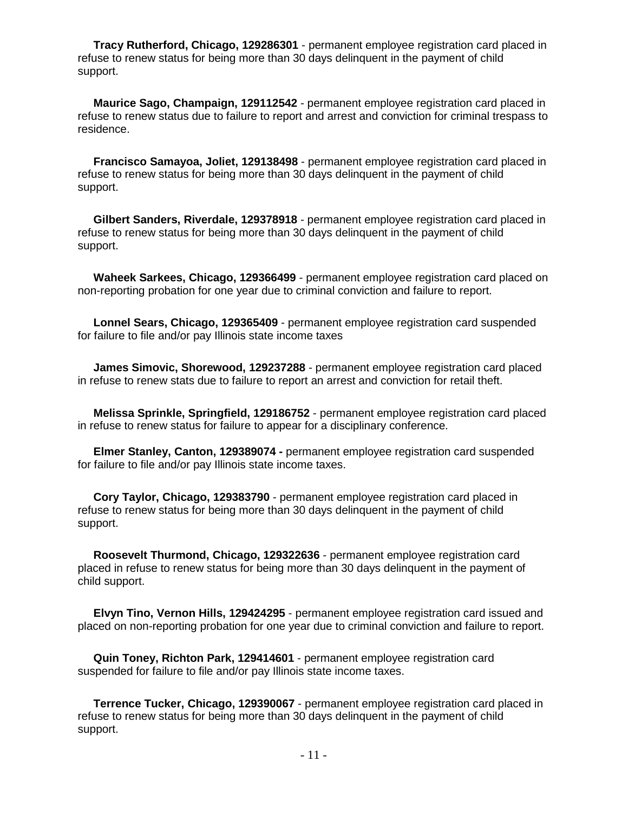**Tracy Rutherford, Chicago, 129286301** - permanent employee registration card placed in refuse to renew status for being more than 30 days delinquent in the payment of child support.

 **Maurice Sago, Champaign, 129112542** - permanent employee registration card placed in refuse to renew status due to failure to report and arrest and conviction for criminal trespass to residence.

 **Francisco Samayoa, Joliet, 129138498** - permanent employee registration card placed in refuse to renew status for being more than 30 days delinquent in the payment of child support.

 **Gilbert Sanders, Riverdale, 129378918** - permanent employee registration card placed in refuse to renew status for being more than 30 days delinquent in the payment of child support.

 **Waheek Sarkees, Chicago, 129366499** - permanent employee registration card placed on non-reporting probation for one year due to criminal conviction and failure to report.

 **Lonnel Sears, Chicago, 129365409** - permanent employee registration card suspended for failure to file and/or pay Illinois state income taxes

 **James Simovic, Shorewood, 129237288** - permanent employee registration card placed in refuse to renew stats due to failure to report an arrest and conviction for retail theft.

 **Melissa Sprinkle, Springfield, 129186752** - permanent employee registration card placed in refuse to renew status for failure to appear for a disciplinary conference.

 **Elmer Stanley, Canton, 129389074 -** permanent employee registration card suspended for failure to file and/or pay Illinois state income taxes.

 **Cory Taylor, Chicago, 129383790** - permanent employee registration card placed in refuse to renew status for being more than 30 days delinquent in the payment of child support.

 **Roosevelt Thurmond, Chicago, 129322636** - permanent employee registration card placed in refuse to renew status for being more than 30 days delinquent in the payment of child support.

 **Elvyn Tino, Vernon Hills, 129424295** - permanent employee registration card issued and placed on non-reporting probation for one year due to criminal conviction and failure to report.

 **Quin Toney, Richton Park, 129414601** - permanent employee registration card suspended for failure to file and/or pay Illinois state income taxes.

 **Terrence Tucker, Chicago, 129390067** - permanent employee registration card placed in refuse to renew status for being more than 30 days delinquent in the payment of child support.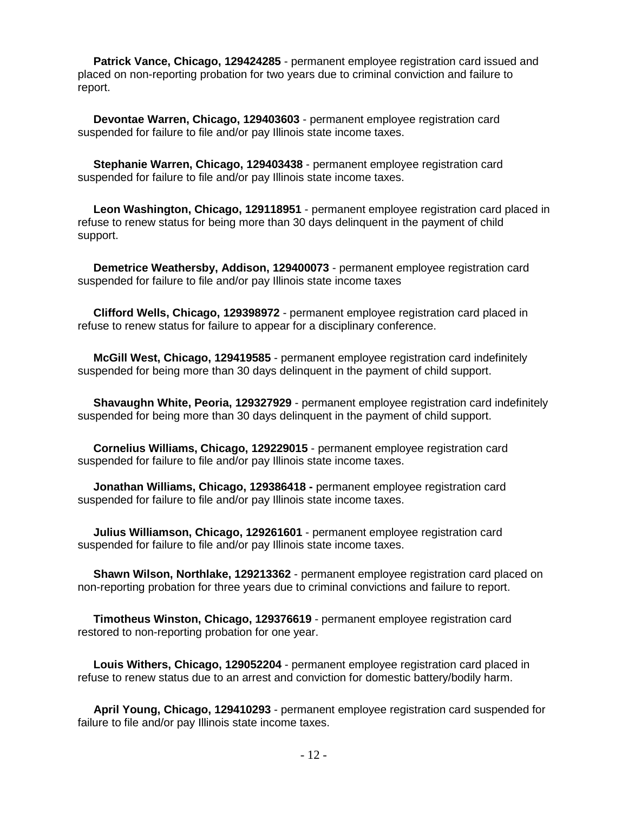**Patrick Vance, Chicago, 129424285** - permanent employee registration card issued and placed on non-reporting probation for two years due to criminal conviction and failure to report.

 **Devontae Warren, Chicago, 129403603** - permanent employee registration card suspended for failure to file and/or pay Illinois state income taxes.

 **Stephanie Warren, Chicago, 129403438** - permanent employee registration card suspended for failure to file and/or pay Illinois state income taxes.

 **Leon Washington, Chicago, 129118951** - permanent employee registration card placed in refuse to renew status for being more than 30 days delinquent in the payment of child support.

 **Demetrice Weathersby, Addison, 129400073** - permanent employee registration card suspended for failure to file and/or pay Illinois state income taxes

 **Clifford Wells, Chicago, 129398972** - permanent employee registration card placed in refuse to renew status for failure to appear for a disciplinary conference.

 **McGill West, Chicago, 129419585** - permanent employee registration card indefinitely suspended for being more than 30 days delinquent in the payment of child support.

 **Shavaughn White, Peoria, 129327929** - permanent employee registration card indefinitely suspended for being more than 30 days delinquent in the payment of child support.

 **Cornelius Williams, Chicago, 129229015** - permanent employee registration card suspended for failure to file and/or pay Illinois state income taxes.

 **Jonathan Williams, Chicago, 129386418 -** permanent employee registration card suspended for failure to file and/or pay Illinois state income taxes.

 **Julius Williamson, Chicago, 129261601** - permanent employee registration card suspended for failure to file and/or pay Illinois state income taxes.

 **Shawn Wilson, Northlake, 129213362** - permanent employee registration card placed on non-reporting probation for three years due to criminal convictions and failure to report.

 **Timotheus Winston, Chicago, 129376619** - permanent employee registration card restored to non-reporting probation for one year.

 **Louis Withers, Chicago, 129052204** - permanent employee registration card placed in refuse to renew status due to an arrest and conviction for domestic battery/bodily harm.

 **April Young, Chicago, 129410293** - permanent employee registration card suspended for failure to file and/or pay Illinois state income taxes.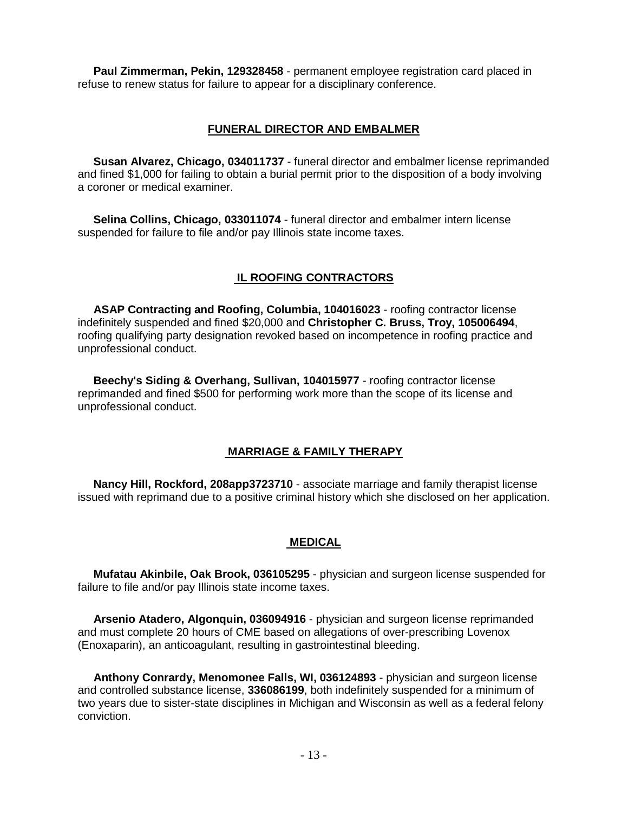**Paul Zimmerman, Pekin, 129328458** - permanent employee registration card placed in refuse to renew status for failure to appear for a disciplinary conference.

#### **FUNERAL DIRECTOR AND EMBALMER**

 **Susan Alvarez, Chicago, 034011737** - funeral director and embalmer license reprimanded and fined \$1,000 for failing to obtain a burial permit prior to the disposition of a body involving a coroner or medical examiner.

 **Selina Collins, Chicago, 033011074** - funeral director and embalmer intern license suspended for failure to file and/or pay Illinois state income taxes.

# **IL ROOFING CONTRACTORS**

 **ASAP Contracting and Roofing, Columbia, 104016023** - roofing contractor license indefinitely suspended and fined \$20,000 and **Christopher C. Bruss, Troy, 105006494**, roofing qualifying party designation revoked based on incompetence in roofing practice and unprofessional conduct.

 **Beechy's Siding & Overhang, Sullivan, 104015977** - roofing contractor license reprimanded and fined \$500 for performing work more than the scope of its license and unprofessional conduct.

#### **MARRIAGE & FAMILY THERAPY**

 **Nancy Hill, Rockford, 208app3723710** - associate marriage and family therapist license issued with reprimand due to a positive criminal history which she disclosed on her application.

#### **MEDICAL**

 **Mufatau Akinbile, Oak Brook, 036105295** - physician and surgeon license suspended for failure to file and/or pay Illinois state income taxes.

 **Arsenio Atadero, Algonquin, 036094916** - physician and surgeon license reprimanded and must complete 20 hours of CME based on allegations of over-prescribing Lovenox (Enoxaparin), an anticoagulant, resulting in gastrointestinal bleeding.

 **Anthony Conrardy, Menomonee Falls, WI, 036124893** - physician and surgeon license and controlled substance license, **336086199**, both indefinitely suspended for a minimum of two years due to sister-state disciplines in Michigan and Wisconsin as well as a federal felony conviction.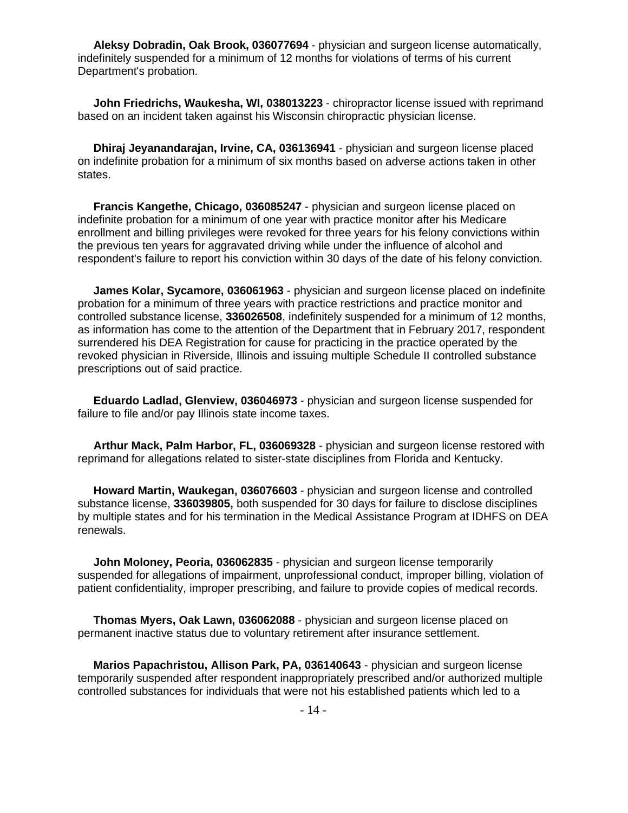**Aleksy Dobradin, Oak Brook, 036077694** - physician and surgeon license automatically, indefinitely suspended for a minimum of 12 months for violations of terms of his current Department's probation.

**John Friedrichs, Waukesha, WI, 038013223** - chiropractor license issued with reprimand based on an incident taken against his Wisconsin chiropractic physician license.

**Dhiraj Jeyanandarajan, Irvine, CA, 036136941** - physician and surgeon license placed on indefinite probation for a minimum of six months based on adverse actions taken in other states.

**Francis Kangethe, Chicago, 036085247** - physician and surgeon license placed on indefinite probation for a minimum of one year with practice monitor after his Medicare enrollment and billing privileges were revoked for three years for his felony convictions within the previous ten years for aggravated driving while under the influence of alcohol and respondent's failure to report his conviction within 30 days of the date of his felony conviction.

**James Kolar, Sycamore, 036061963** - physician and surgeon license placed on indefinite probation for a minimum of three years with practice restrictions and practice monitor and controlled substance license, **336026508**, indefinitely suspended for a minimum of 12 months, as information has come to the attention of the Department that in February 2017, respondent surrendered his DEA Registration for cause for practicing in the practice operated by the revoked physician in Riverside, Illinois and issuing multiple Schedule II controlled substance prescriptions out of said practice.

**Eduardo Ladlad, Glenview, 036046973** - physician and surgeon license suspended for failure to file and/or pay Illinois state income taxes.

**Arthur Mack, Palm Harbor, FL, 036069328** - physician and surgeon license restored with reprimand for allegations related to sister-state disciplines from Florida and Kentucky.

**Howard Martin, Waukegan, 036076603** - physician and surgeon license and controlled substance license, **336039805,** both suspended for 30 days for failure to disclose disciplines by multiple states and for his termination in the Medical Assistance Program at IDHFS on DEA renewals.

**John Moloney, Peoria, 036062835** - physician and surgeon license temporarily suspended for allegations of impairment, unprofessional conduct, improper billing, violation of patient confidentiality, improper prescribing, and failure to provide copies of medical records.

**Thomas Myers, Oak Lawn, 036062088** - physician and surgeon license placed on permanent inactive status due to voluntary retirement after insurance settlement.

**Marios Papachristou, Allison Park, PA, 036140643** - physician and surgeon license temporarily suspended after respondent inappropriately prescribed and/or authorized multiple controlled substances for individuals that were not his established patients which led to a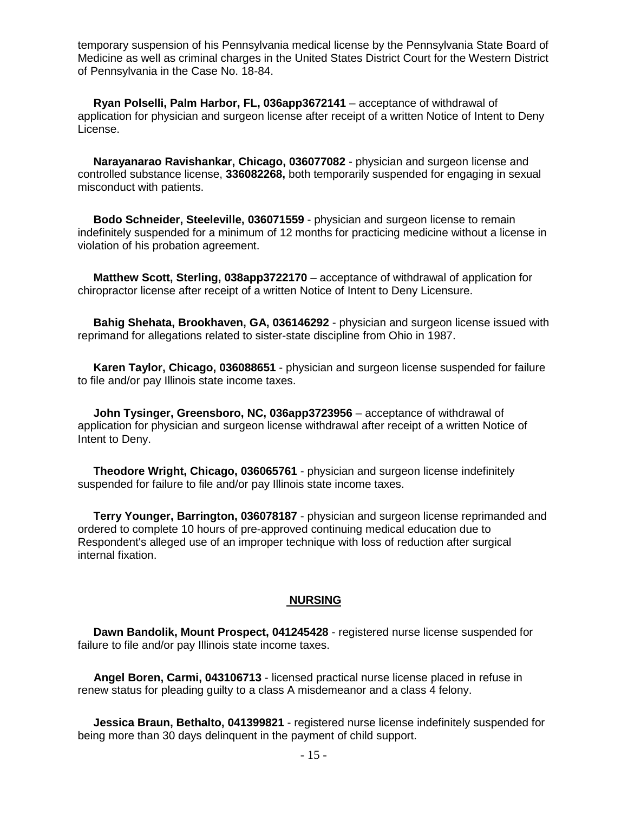temporary suspension of his Pennsylvania medical license by the Pennsylvania State Board of Medicine as well as criminal charges in the United States District Court for the Western District of Pennsylvania in the Case No. 18-84.

 **Ryan Polselli, Palm Harbor, FL, 036app3672141** – acceptance of withdrawal of application for physician and surgeon license after receipt of a written Notice of Intent to Deny License.

 **Narayanarao Ravishankar, Chicago, 036077082** - physician and surgeon license and controlled substance license, **336082268,** both temporarily suspended for engaging in sexual misconduct with patients.

 **Bodo Schneider, Steeleville, 036071559** - physician and surgeon license to remain indefinitely suspended for a minimum of 12 months for practicing medicine without a license in violation of his probation agreement.

 **Matthew Scott, Sterling, 038app3722170** – acceptance of withdrawal of application for chiropractor license after receipt of a written Notice of Intent to Deny Licensure.

 **Bahig Shehata, Brookhaven, GA, 036146292** - physician and surgeon license issued with reprimand for allegations related to sister-state discipline from Ohio in 1987.

 **Karen Taylor, Chicago, 036088651** - physician and surgeon license suspended for failure to file and/or pay Illinois state income taxes.

 **John Tysinger, Greensboro, NC, 036app3723956** – acceptance of withdrawal of application for physician and surgeon license withdrawal after receipt of a written Notice of Intent to Deny.

 **Theodore Wright, Chicago, 036065761** - physician and surgeon license indefinitely suspended for failure to file and/or pay Illinois state income taxes.

 **Terry Younger, Barrington, 036078187** - physician and surgeon license reprimanded and ordered to complete 10 hours of pre-approved continuing medical education due to Respondent's alleged use of an improper technique with loss of reduction after surgical internal fixation.

#### **NURSING**

 **Dawn Bandolik, Mount Prospect, 041245428** - registered nurse license suspended for failure to file and/or pay Illinois state income taxes.

 **Angel Boren, Carmi, 043106713** - licensed practical nurse license placed in refuse in renew status for pleading guilty to a class A misdemeanor and a class 4 felony.

 **Jessica Braun, Bethalto, 041399821** - registered nurse license indefinitely suspended for being more than 30 days delinquent in the payment of child support.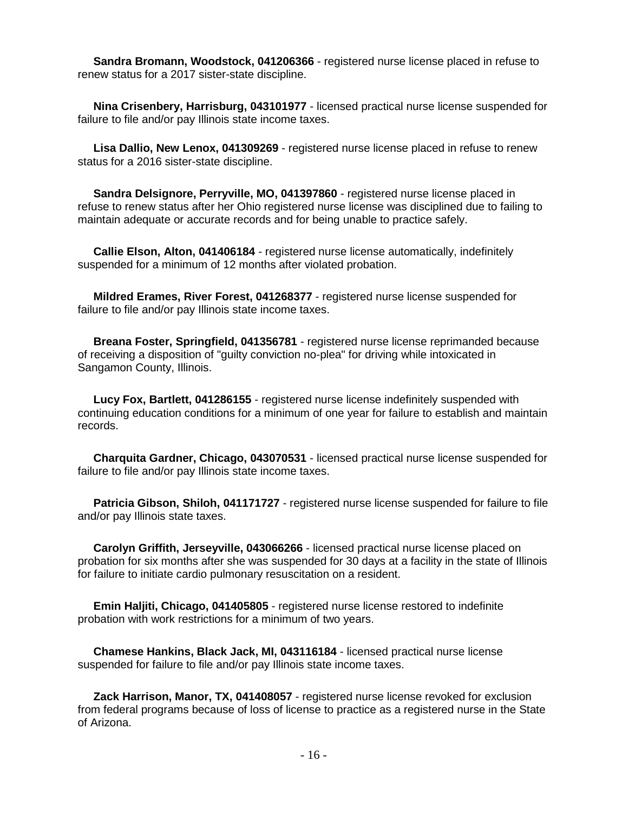**Sandra Bromann, Woodstock, 041206366** - registered nurse license placed in refuse to renew status for a 2017 sister-state discipline.

 **Nina Crisenbery, Harrisburg, 043101977** - licensed practical nurse license suspended for failure to file and/or pay Illinois state income taxes.

 **Lisa Dallio, New Lenox, 041309269** - registered nurse license placed in refuse to renew status for a 2016 sister-state discipline.

 **Sandra Delsignore, Perryville, MO, 041397860** - registered nurse license placed in refuse to renew status after her Ohio registered nurse license was disciplined due to failing to maintain adequate or accurate records and for being unable to practice safely.

 **Callie Elson, Alton, 041406184** - registered nurse license automatically, indefinitely suspended for a minimum of 12 months after violated probation.

 **Mildred Erames, River Forest, 041268377** - registered nurse license suspended for failure to file and/or pay Illinois state income taxes.

 **Breana Foster, Springfield, 041356781** - registered nurse license reprimanded because of receiving a disposition of "guilty conviction no-plea" for driving while intoxicated in Sangamon County, Illinois.

 **Lucy Fox, Bartlett, 041286155** - registered nurse license indefinitely suspended with continuing education conditions for a minimum of one year for failure to establish and maintain records.

 **Charquita Gardner, Chicago, 043070531** - licensed practical nurse license suspended for failure to file and/or pay Illinois state income taxes.

 **Patricia Gibson, Shiloh, 041171727** - registered nurse license suspended for failure to file and/or pay Illinois state taxes.

 **Carolyn Griffith, Jerseyville, 043066266** - licensed practical nurse license placed on probation for six months after she was suspended for 30 days at a facility in the state of Illinois for failure to initiate cardio pulmonary resuscitation on a resident.

 **Emin Haljiti, Chicago, 041405805** - registered nurse license restored to indefinite probation with work restrictions for a minimum of two years.

 **Chamese Hankins, Black Jack, MI, 043116184** - licensed practical nurse license suspended for failure to file and/or pay Illinois state income taxes.

 **Zack Harrison, Manor, TX, 041408057** - registered nurse license revoked for exclusion from federal programs because of loss of license to practice as a registered nurse in the State of Arizona.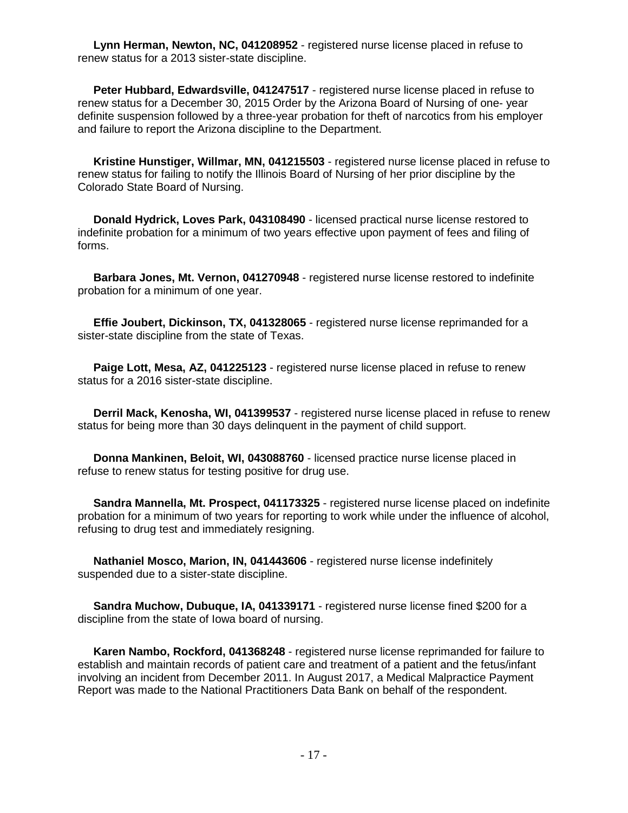**Lynn Herman, Newton, NC, 041208952** - registered nurse license placed in refuse to renew status for a 2013 sister-state discipline.

 **Peter Hubbard, Edwardsville, 041247517** - registered nurse license placed in refuse to renew status for a December 30, 2015 Order by the Arizona Board of Nursing of one- year definite suspension followed by a three-year probation for theft of narcotics from his employer and failure to report the Arizona discipline to the Department.

 **Kristine Hunstiger, Willmar, MN, 041215503** - registered nurse license placed in refuse to renew status for failing to notify the Illinois Board of Nursing of her prior discipline by the Colorado State Board of Nursing.

 **Donald Hydrick, Loves Park, 043108490** - licensed practical nurse license restored to indefinite probation for a minimum of two years effective upon payment of fees and filing of forms.

 **Barbara Jones, Mt. Vernon, 041270948** - registered nurse license restored to indefinite probation for a minimum of one year.

 **Effie Joubert, Dickinson, TX, 041328065** - registered nurse license reprimanded for a sister-state discipline from the state of Texas.

 **Paige Lott, Mesa, AZ, 041225123** - registered nurse license placed in refuse to renew status for a 2016 sister-state discipline.

 **Derril Mack, Kenosha, WI, 041399537** - registered nurse license placed in refuse to renew status for being more than 30 days delinquent in the payment of child support.

 **Donna Mankinen, Beloit, WI, 043088760** - licensed practice nurse license placed in refuse to renew status for testing positive for drug use.

 **Sandra Mannella, Mt. Prospect, 041173325** - registered nurse license placed on indefinite probation for a minimum of two years for reporting to work while under the influence of alcohol, refusing to drug test and immediately resigning.

 **Nathaniel Mosco, Marion, IN, 041443606** - registered nurse license indefinitely suspended due to a sister-state discipline.

 **Sandra Muchow, Dubuque, IA, 041339171** - registered nurse license fined \$200 for a discipline from the state of Iowa board of nursing.

 **Karen Nambo, Rockford, 041368248** - registered nurse license reprimanded for failure to establish and maintain records of patient care and treatment of a patient and the fetus/infant involving an incident from December 2011. In August 2017, a Medical Malpractice Payment Report was made to the National Practitioners Data Bank on behalf of the respondent.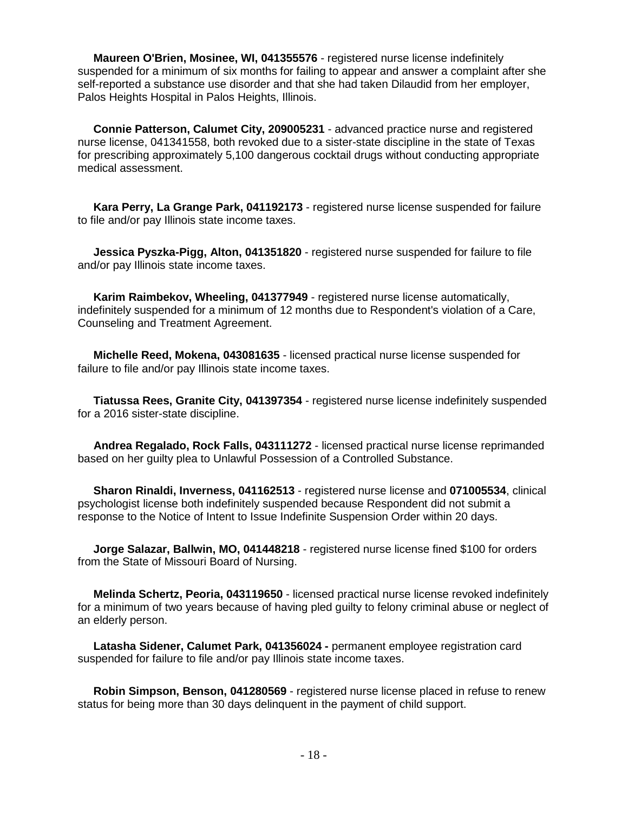**Maureen O'Brien, Mosinee, WI, 041355576** - registered nurse license indefinitely suspended for a minimum of six months for failing to appear and answer a complaint after she self-reported a substance use disorder and that she had taken Dilaudid from her employer, Palos Heights Hospital in Palos Heights, Illinois.

 **Connie Patterson, Calumet City, 209005231** - advanced practice nurse and registered nurse license, 041341558, both revoked due to a sister-state discipline in the state of Texas for prescribing approximately 5,100 dangerous cocktail drugs without conducting appropriate medical assessment.

 **Kara Perry, La Grange Park, 041192173** - registered nurse license suspended for failure to file and/or pay Illinois state income taxes.

 **Jessica Pyszka-Pigg, Alton, 041351820** - registered nurse suspended for failure to file and/or pay Illinois state income taxes.

 **Karim Raimbekov, Wheeling, 041377949** - registered nurse license automatically, indefinitely suspended for a minimum of 12 months due to Respondent's violation of a Care, Counseling and Treatment Agreement.

 **Michelle Reed, Mokena, 043081635** - licensed practical nurse license suspended for failure to file and/or pay Illinois state income taxes.

 **Tiatussa Rees, Granite City, 041397354** - registered nurse license indefinitely suspended for a 2016 sister-state discipline.

 **Andrea Regalado, Rock Falls, 043111272** - licensed practical nurse license reprimanded based on her guilty plea to Unlawful Possession of a Controlled Substance.

 **Sharon Rinaldi, Inverness, 041162513** - registered nurse license and **071005534**, clinical psychologist license both indefinitely suspended because Respondent did not submit a response to the Notice of Intent to Issue Indefinite Suspension Order within 20 days.

 **Jorge Salazar, Ballwin, MO, 041448218** - registered nurse license fined \$100 for orders from the State of Missouri Board of Nursing.

 **Melinda Schertz, Peoria, 043119650** - licensed practical nurse license revoked indefinitely for a minimum of two years because of having pled guilty to felony criminal abuse or neglect of an elderly person.

 **Latasha Sidener, Calumet Park, 041356024 -** permanent employee registration card suspended for failure to file and/or pay Illinois state income taxes.

 **Robin Simpson, Benson, 041280569** - registered nurse license placed in refuse to renew status for being more than 30 days delinquent in the payment of child support.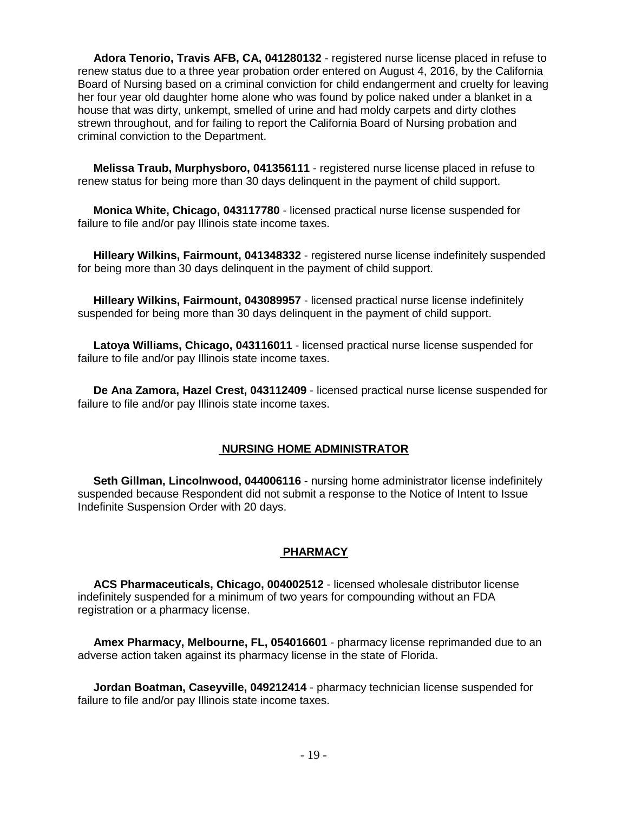**Adora Tenorio, Travis AFB, CA, 041280132** - registered nurse license placed in refuse to renew status due to a three year probation order entered on August 4, 2016, by the California Board of Nursing based on a criminal conviction for child endangerment and cruelty for leaving her four year old daughter home alone who was found by police naked under a blanket in a house that was dirty, unkempt, smelled of urine and had moldy carpets and dirty clothes strewn throughout, and for failing to report the California Board of Nursing probation and criminal conviction to the Department.

 **Melissa Traub, Murphysboro, 041356111** - registered nurse license placed in refuse to renew status for being more than 30 days delinquent in the payment of child support.

 **Monica White, Chicago, 043117780** - licensed practical nurse license suspended for failure to file and/or pay Illinois state income taxes.

 **Hilleary Wilkins, Fairmount, 041348332** - registered nurse license indefinitely suspended for being more than 30 days delinquent in the payment of child support.

 **Hilleary Wilkins, Fairmount, 043089957** - licensed practical nurse license indefinitely suspended for being more than 30 days delinquent in the payment of child support.

 **Latoya Williams, Chicago, 043116011** - licensed practical nurse license suspended for failure to file and/or pay Illinois state income taxes.

 **De Ana Zamora, Hazel Crest, 043112409** - licensed practical nurse license suspended for failure to file and/or pay Illinois state income taxes.

#### **NURSING HOME ADMINISTRATOR**

 **Seth Gillman, Lincolnwood, 044006116** - nursing home administrator license indefinitely suspended because Respondent did not submit a response to the Notice of Intent to Issue Indefinite Suspension Order with 20 days.

#### **PHARMACY**

 **ACS Pharmaceuticals, Chicago, 004002512** - licensed wholesale distributor license indefinitely suspended for a minimum of two years for compounding without an FDA registration or a pharmacy license.

 **Amex Pharmacy, Melbourne, FL, 054016601** - pharmacy license reprimanded due to an adverse action taken against its pharmacy license in the state of Florida.

 **Jordan Boatman, Caseyville, 049212414** - pharmacy technician license suspended for failure to file and/or pay Illinois state income taxes.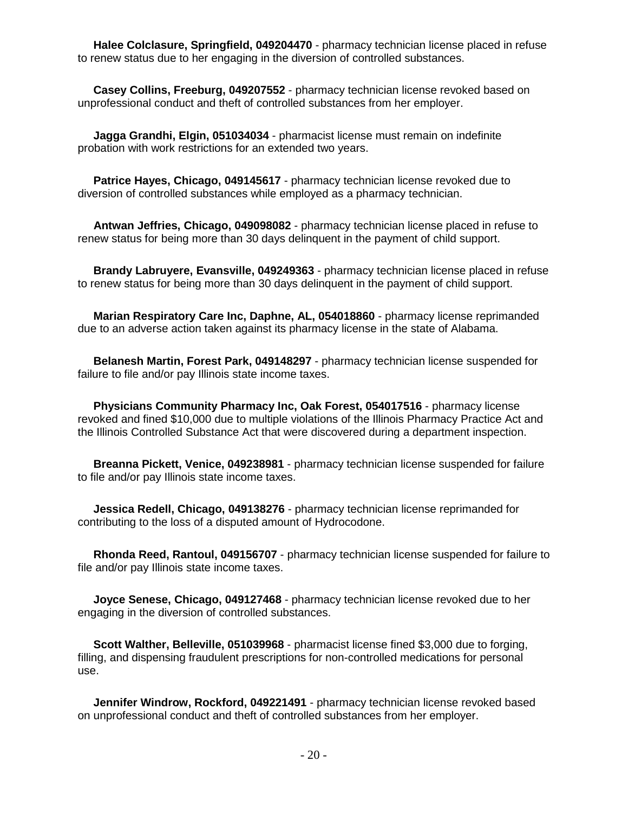**Halee Colclasure, Springfield, 049204470** - pharmacy technician license placed in refuse to renew status due to her engaging in the diversion of controlled substances.

 **Casey Collins, Freeburg, 049207552** - pharmacy technician license revoked based on unprofessional conduct and theft of controlled substances from her employer.

 **Jagga Grandhi, Elgin, 051034034** - pharmacist license must remain on indefinite probation with work restrictions for an extended two years.

 **Patrice Hayes, Chicago, 049145617** - pharmacy technician license revoked due to diversion of controlled substances while employed as a pharmacy technician.

 **Antwan Jeffries, Chicago, 049098082** - pharmacy technician license placed in refuse to renew status for being more than 30 days delinquent in the payment of child support.

 **Brandy Labruyere, Evansville, 049249363** - pharmacy technician license placed in refuse to renew status for being more than 30 days delinquent in the payment of child support.

 **Marian Respiratory Care Inc, Daphne, AL, 054018860** - pharmacy license reprimanded due to an adverse action taken against its pharmacy license in the state of Alabama.

 **Belanesh Martin, Forest Park, 049148297** - pharmacy technician license suspended for failure to file and/or pay Illinois state income taxes.

 **Physicians Community Pharmacy Inc, Oak Forest, 054017516** - pharmacy license revoked and fined \$10,000 due to multiple violations of the Illinois Pharmacy Practice Act and the Illinois Controlled Substance Act that were discovered during a department inspection.

 **Breanna Pickett, Venice, 049238981** - pharmacy technician license suspended for failure to file and/or pay Illinois state income taxes.

 **Jessica Redell, Chicago, 049138276** - pharmacy technician license reprimanded for contributing to the loss of a disputed amount of Hydrocodone.

 **Rhonda Reed, Rantoul, 049156707** - pharmacy technician license suspended for failure to file and/or pay Illinois state income taxes.

 **Joyce Senese, Chicago, 049127468** - pharmacy technician license revoked due to her engaging in the diversion of controlled substances.

 **Scott Walther, Belleville, 051039968** - pharmacist license fined \$3,000 due to forging, filling, and dispensing fraudulent prescriptions for non-controlled medications for personal use.

 **Jennifer Windrow, Rockford, 049221491** - pharmacy technician license revoked based on unprofessional conduct and theft of controlled substances from her employer.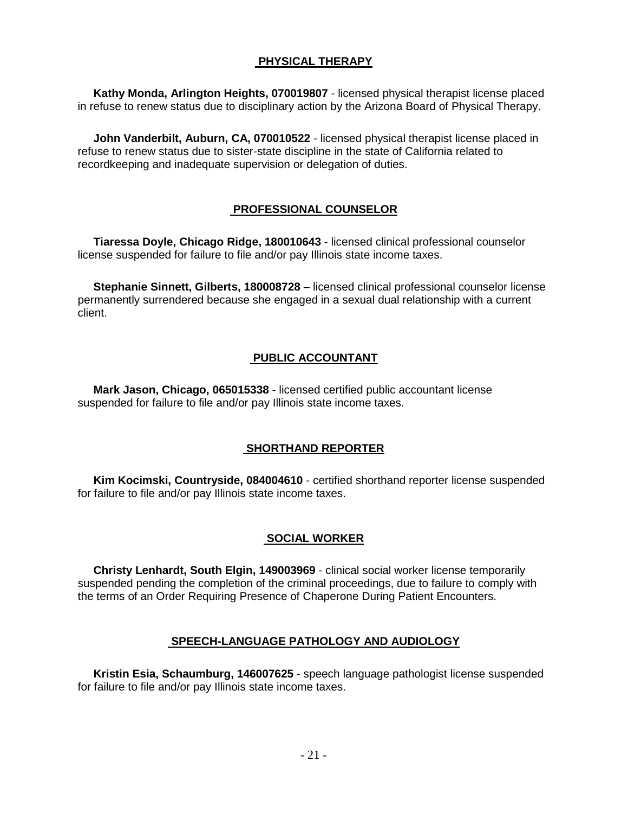#### **PHYSICAL THERAPY**

 **Kathy Monda, Arlington Heights, 070019807** - licensed physical therapist license placed in refuse to renew status due to disciplinary action by the Arizona Board of Physical Therapy.

**John Vanderbilt, Auburn, CA, 070010522** - licensed physical therapist license placed in refuse to renew status due to sister-state discipline in the state of California related to recordkeeping and inadequate supervision or delegation of duties.

# **PROFESSIONAL COUNSELOR**

 **Tiaressa Doyle, Chicago Ridge, 180010643** - licensed clinical professional counselor license suspended for failure to file and/or pay Illinois state income taxes.

 **Stephanie Sinnett, Gilberts, 180008728** – licensed clinical professional counselor license permanently surrendered because she engaged in a sexual dual relationship with a current client.

# **PUBLIC ACCOUNTANT**

 **Mark Jason, Chicago, 065015338** - licensed certified public accountant license suspended for failure to file and/or pay Illinois state income taxes.

# **SHORTHAND REPORTER**

 **Kim Kocimski, Countryside, 084004610** - certified shorthand reporter license suspended for failure to file and/or pay Illinois state income taxes.

#### **SOCIAL WORKER**

 **Christy Lenhardt, South Elgin, 149003969** - clinical social worker license temporarily suspended pending the completion of the criminal proceedings, due to failure to comply with the terms of an Order Requiring Presence of Chaperone During Patient Encounters.

# **SPEECH-LANGUAGE PATHOLOGY AND AUDIOLOGY**

 **Kristin Esia, Schaumburg, 146007625** - speech language pathologist license suspended for failure to file and/or pay Illinois state income taxes.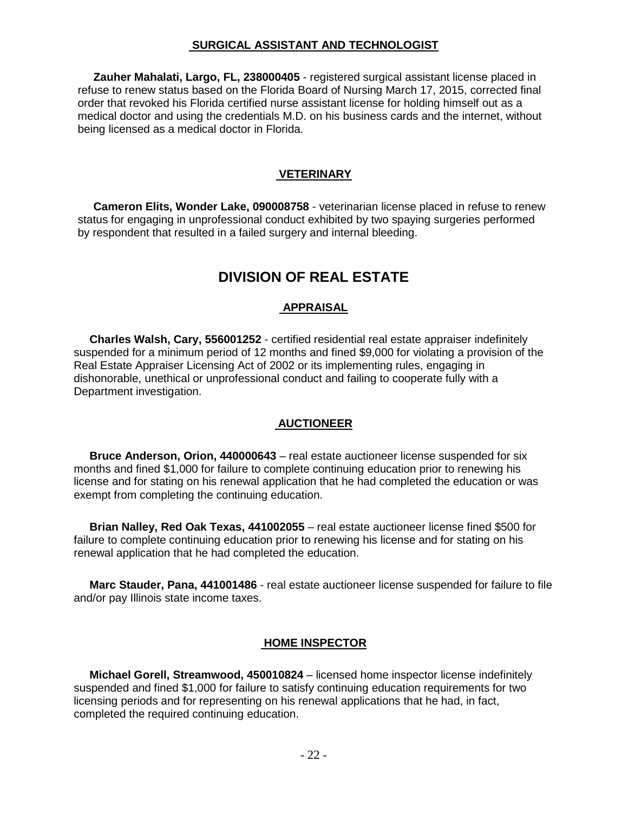#### **SURGICAL ASSISTANT AND TECHNOLOGIST**

 **Zauher Mahalati, Largo, FL, 238000405** - registered surgical assistant license placed in refuse to renew status based on the Florida Board of Nursing March 17, 2015, corrected final order that revoked his Florida certified nurse assistant license for holding himself out as a medical doctor and using the credentials M.D. on his business cards and the internet, without being licensed as a medical doctor in Florida.

#### **VETERINARY**

 **Cameron Elits, Wonder Lake, 090008758** - veterinarian license placed in refuse to renew status for engaging in unprofessional conduct exhibited by two spaying surgeries performed by respondent that resulted in a failed surgery and internal bleeding.

# **DIVISION OF REAL ESTATE**

#### **APPRAISAL**

 **Charles Walsh, Cary, 556001252** - certified residential real estate appraiser indefinitely suspended for a minimum period of 12 months and fined \$9,000 for violating a provision of the Real Estate Appraiser Licensing Act of 2002 or its implementing rules, engaging in dishonorable, unethical or unprofessional conduct and failing to cooperate fully with a Department investigation.

#### **AUCTIONEER**

 **Bruce Anderson, Orion, 440000643** – real estate auctioneer license suspended for six months and fined \$1,000 for failure to complete continuing education prior to renewing his license and for stating on his renewal application that he had completed the education or was exempt from completing the continuing education.

 **Brian Nalley, Red Oak Texas, 441002055** – real estate auctioneer license fined \$500 for failure to complete continuing education prior to renewing his license and for stating on his renewal application that he had completed the education.

 **Marc Stauder, Pana, 441001486** - real estate auctioneer license suspended for failure to file and/or pay Illinois state income taxes.

#### **HOME INSPECTOR**

 **Michael Gorell, Streamwood, 450010824** – licensed home inspector license indefinitely suspended and fined \$1,000 for failure to satisfy continuing education requirements for two licensing periods and for representing on his renewal applications that he had, in fact, completed the required continuing education.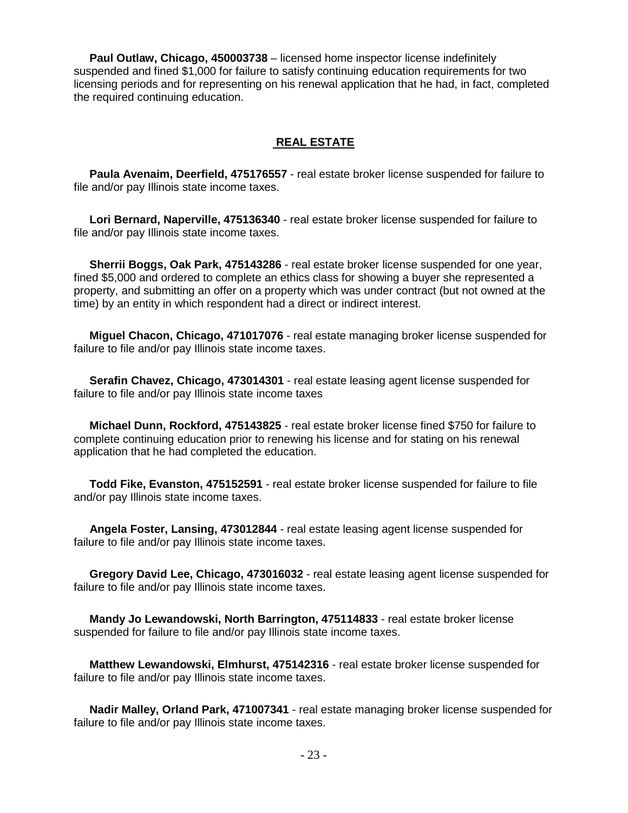**Paul Outlaw, Chicago, 450003738** – licensed home inspector license indefinitely suspended and fined \$1,000 for failure to satisfy continuing education requirements for two licensing periods and for representing on his renewal application that he had, in fact, completed the required continuing education.

#### **REAL ESTATE**

 **Paula Avenaim, Deerfield, 475176557** - real estate broker license suspended for failure to file and/or pay Illinois state income taxes.

 **Lori Bernard, Naperville, 475136340** - real estate broker license suspended for failure to file and/or pay Illinois state income taxes.

 **Sherrii Boggs, Oak Park, 475143286** - real estate broker license suspended for one year, fined \$5,000 and ordered to complete an ethics class for showing a buyer she represented a property, and submitting an offer on a property which was under contract (but not owned at the time) by an entity in which respondent had a direct or indirect interest.

 **Miguel Chacon, Chicago, 471017076** - real estate managing broker license suspended for failure to file and/or pay Illinois state income taxes.

 **Serafin Chavez, Chicago, 473014301** - real estate leasing agent license suspended for failure to file and/or pay Illinois state income taxes

 **Michael Dunn, Rockford, 475143825** - real estate broker license fined \$750 for failure to complete continuing education prior to renewing his license and for stating on his renewal application that he had completed the education.

 **Todd Fike, Evanston, 475152591** - real estate broker license suspended for failure to file and/or pay Illinois state income taxes.

 **Angela Foster, Lansing, 473012844** - real estate leasing agent license suspended for failure to file and/or pay Illinois state income taxes.

 **Gregory David Lee, Chicago, 473016032** - real estate leasing agent license suspended for failure to file and/or pay Illinois state income taxes.

 **Mandy Jo Lewandowski, North Barrington, 475114833** - real estate broker license suspended for failure to file and/or pay Illinois state income taxes.

 **Matthew Lewandowski, Elmhurst, 475142316** - real estate broker license suspended for failure to file and/or pay Illinois state income taxes.

 **Nadir Malley, Orland Park, 471007341** - real estate managing broker license suspended for failure to file and/or pay Illinois state income taxes.